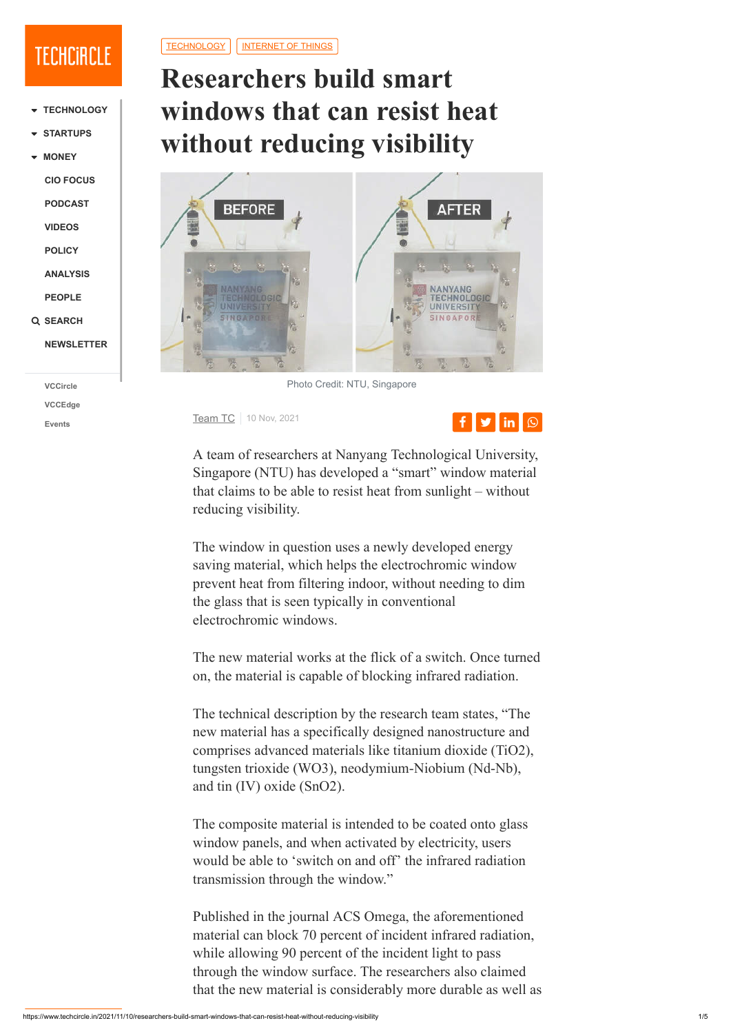# **Researchers build smart windows that can resist heat without reducing visibility**



Photo Credit: NTU, Singapore

**[Team TC](https://www.techcircle.in/author/team-techcircle)** 10 Nov, 2021

A team of researchers at Nanyang Technological University, Singapore (NTU) has developed a "smart" window material that claims to be able to resist heat from sunlight – without reducing visibility.

The window in question uses a newly developed energy saving material, which helps the electrochromic window prevent heat from filtering indoor, without needing to dim the glass that is seen typically in conventional electrochromic windows.

The new material works at the flick of a switch. Once turned on, the material is capable of blocking infrared radiation.

- ▼ **[STARTUPS](javascript:void(0);)**
- ▼ **[MONEY](javascript:void(0);)**

The technical description by the research team states, "The new material has a specifically designed nanostructure and comprises advanced materials like titanium dioxide (TiO2), tungsten trioxide (WO3), neodymium-Niobium (Nd-Nb),

### and tin (IV) oxide (SnO2).

The composite material is intended to be coated onto glass window panels, and when activated by electricity, users would be able to 'switch on and off' the infrared radiation transmission through the window."

Published in the journal ACS Omega, the aforementioned material can block 70 percent of incident infrared radiation, while allowing 90 percent of the incident light to pass through the window surface. The researchers also claimed that the new material is considerably more durable as well as



## **TECHCIRCLE**

**[TECHNOLOGY](javascript:void(0);)**

**[CIO FOCUS](https://www.techcircle.in/tag/cio-focus)**

**[PODCAST](https://www.techcircle.in/category/podcast)**

**[VIDEOS](https://www.techcircle.in/tag/videos)**

**[POLICY](https://www.techcircle.in/category/policy)**

**[ANALYSIS](https://www.techcircle.in/category/analysis)**

**[PEOPLE](https://www.techcircle.in/category/people)**

 **[SEARCH](javascript:void(0);)**

**[NEWSLETTER](javascript:void(0);)**

**[VCCircle](http://www.vccircle.com/)**

**[VCCEdge](http://www.vccedge.com/)**

**[Events](https://events.vccircle.com/)**

[TECHNOLOGY](https://www.techcircle.in/category/technology) | | [INTERNET OF THINGS](https://www.techcircle.in/category/technology-internet-of-things)

https://www.techcircle.in/2021/11/10/researchers-build-smart-windows-that-can-resist-heat-without-reducing-visibility 1/5